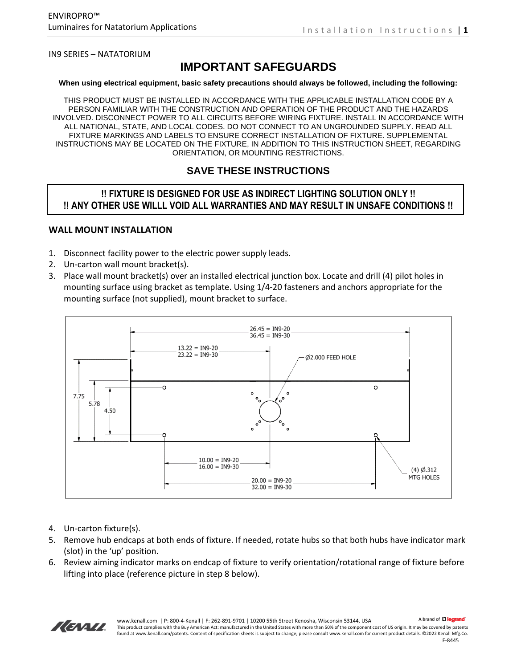IN9 SERIES – NATATORIUM

# **IMPORTANT SAFEGUARDS**

#### **When using electrical equipment, basic safety precautions should always be followed, including the following:**

THIS PRODUCT MUST BE INSTALLED IN ACCORDANCE WITH THE APPLICABLE INSTALLATION CODE BY A PERSON FAMILIAR WITH THE CONSTRUCTION AND OPERATION OF THE PRODUCT AND THE HAZARDS INVOLVED. DISCONNECT POWER TO ALL CIRCUITS BEFORE WIRING FIXTURE. INSTALL IN ACCORDANCE WITH ALL NATIONAL, STATE, AND LOCAL CODES. DO NOT CONNECT TO AN UNGROUNDED SUPPLY. READ ALL FIXTURE MARKINGS AND LABELS TO ENSURE CORRECT INSTALLATION OF FIXTURE. SUPPLEMENTAL INSTRUCTIONS MAY BE LOCATED ON THE FIXTURE, IN ADDITION TO THIS INSTRUCTION SHEET, REGARDING ORIENTATION, OR MOUNTING RESTRICTIONS.

#### **SAVE THESE INSTRUCTIONS**

#### **!! FIXTURE IS DESIGNED FOR USE AS INDIRECT LIGHTING SOLUTION ONLY !! !! ANY OTHER USE WILLL VOID ALL WARRANTIES AND MAY RESULT IN UNSAFE CONDITIONS !!**

#### **WALL MOUNT INSTALLATION**

- 1. Disconnect facility power to the electric power supply leads.
- 2. Un-carton wall mount bracket(s).
- 3. Place wall mount bracket(s) over an installed electrical junction box. Locate and drill (4) pilot holes in mounting surface using bracket as template. Using 1/4-20 fasteners and anchors appropriate for the mounting surface (not supplied), mount bracket to surface.



- 4. Un-carton fixture(s).
- 5. Remove hub endcaps at both ends of fixture. If needed, rotate hubs so that both hubs have indicator mark (slot) in the 'up' position.
- 6. Review aiming indicator marks on endcap of fixture to verify orientation/rotational range of fixture before lifting into place (reference picture in step 8 below).

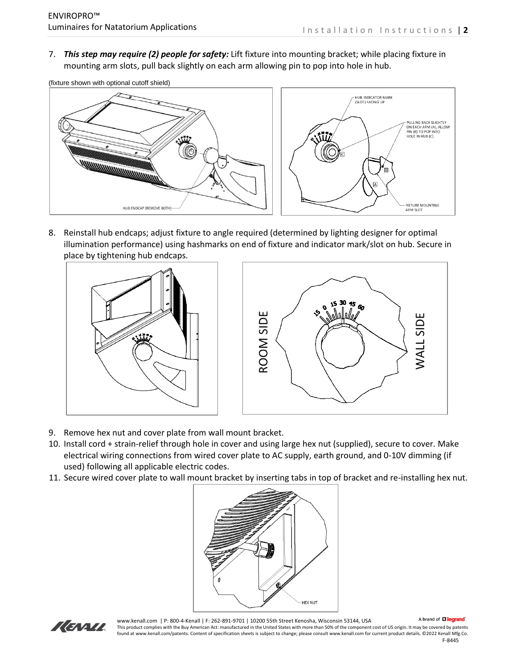7. *This step may require (2) people for safety:* Lift fixture into mounting bracket; while placing fixture in mounting arm slots, pull back slightly on each arm allowing pin to pop into hole in hub.

(fixture shown with optional cutoff shield)



8. Reinstall hub endcaps; adjust fixture to angle required (determined by lighting designer for optimal illumination performance) using hashmarks on end of fixture and indicator mark/slot on hub. Secure in place by tightening hub endcaps.





- 9. Remove hex nut and cover plate from wall mount bracket.
- 10. Install cord + strain-relief through hole in cover and using large hex nut (supplied), secure to cover. Make electrical wiring connections from wired cover plate to AC supply, earth ground, and 0-10V dimming (if used) following all applicable electric codes.
- 11. Secure wired cover plate to wall mount bracket by inserting tabs in top of bracket and re-installing hex nut.





www.kenall.com | P: 800-4-Kenall | F: 262-891-9701 | 10200 55th Street Kenosha, Wisconsin 53144, USA

A brand of Lilegrand

This product complies with the Buy American Act: manufactured in the United States with more than 50% of the component cost of US origin. It may be covered by patents found at www.kenall.com/patents. Content of specification sheets is subject to change; please consult www.kenall.com for current product details. ©2022 Kenall Mfg.Co. F-8445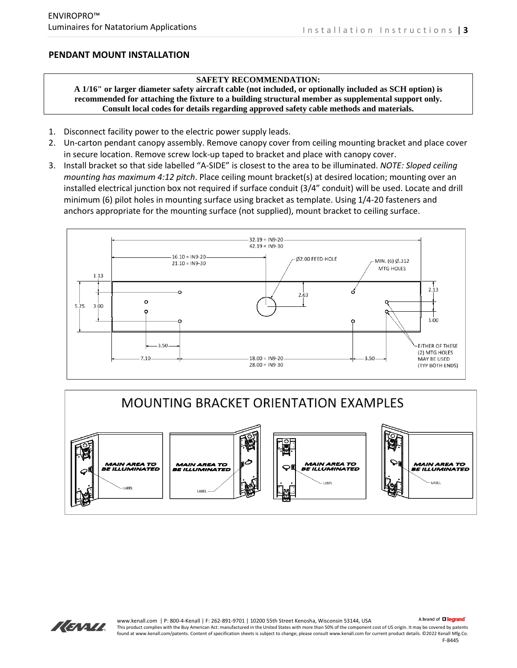#### **PENDANT MOUNT INSTALLATION**

#### **SAFETY RECOMMENDATION:**

**A 1/16" or larger diameter safety aircraft cable (not included, or optionally included as SCH option) is recommended for attaching the fixture to a building structural member as supplemental support only. Consult local codes for details regarding approved safety cable methods and materials.**

- 1. Disconnect facility power to the electric power supply leads.
- 2. Un-carton pendant canopy assembly. Remove canopy cover from ceiling mounting bracket and place cover in secure location. Remove screw lock-up taped to bracket and place with canopy cover.
- 3. Install bracket so that side labelled "A-SIDE" is closest to the area to be illuminated. *NOTE: Sloped ceiling mounting has maximum 4:12 pitch*. Place ceiling mount bracket(s) at desired location; mounting over an installed electrical junction box not required if surface conduit (3/4" conduit) will be used. Locate and drill minimum (6) pilot holes in mounting surface using bracket as template. Using 1/4-20 fasteners and anchors appropriate for the mounting surface (not supplied), mount bracket to ceiling surface.







A brand of Lilegrand www.kenall.com | P: 800-4-Kenall | F: 262-891-9701 | 10200 55th Street Kenosha, Wisconsin 53144, USA This product complies with the Buy American Act: manufactured in the United States with more than 50% of the component cost of US origin. It may be covered by patents found at www.kenall.com/patents. Content of specification sheets is subject to change; please consult www.kenall.com for current product details. ©2022 Kenall Mfg.Co.

F-8445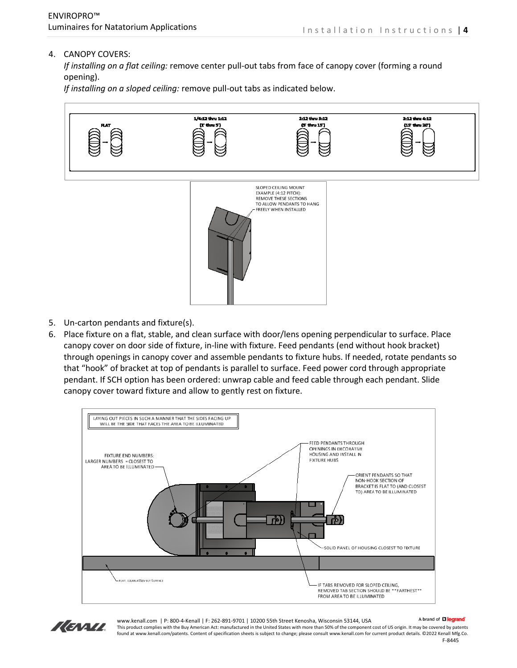#### 4. CANOPY COVERS:

*If installing on a flat ceiling:* remove center pull-out tabs from face of canopy cover (forming a round opening).

*If installing on a sloped ceiling:* remove pull-out tabs as indicated below.



- 5. Un-carton pendants and fixture(s).
- 6. Place fixture on a flat, stable, and clean surface with door/lens opening perpendicular to surface. Place canopy cover on door side of fixture, in-line with fixture. Feed pendants (end without hook bracket) through openings in canopy cover and assemble pendants to fixture hubs. If needed, rotate pendants so that "hook" of bracket at top of pendants is parallel to surface. Feed power cord through appropriate pendant. If SCH option has been ordered: unwrap cable and feed cable through each pendant. Slide canopy cover toward fixture and allow to gently rest on fixture.





www.kenall.com | P: 800-4-Kenall | F: 262-891-9701 | 10200 55th Street Kenosha, Wisconsin 53144, USA

A brand of Lilegrand

This product complies with the Buy American Act: manufactured in the United States with more than 50% of the component cost of US origin. It may be covered by patents found at www.kenall.com/patents. Content of specification sheets is subject to change; please consult www.kenall.com for current product details. ©2022 Kenall Mfg.Co. F-8445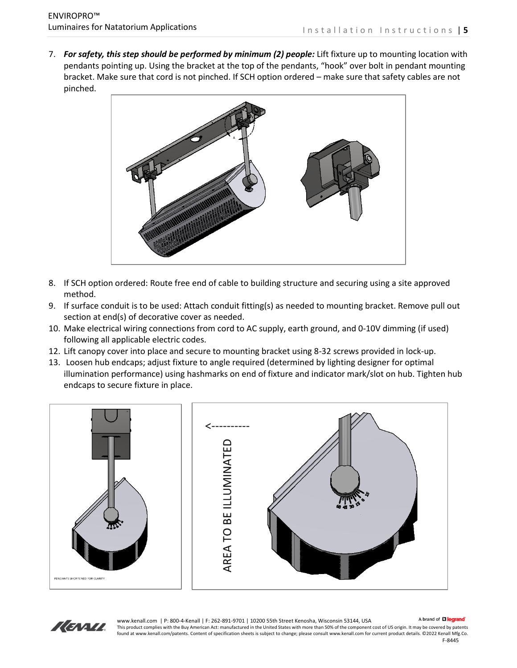7. *For safety, this step should be performed by minimum (2) people:* Lift fixture up to mounting location with pendants pointing up. Using the bracket at the top of the pendants, "hook" over bolt in pendant mounting bracket. Make sure that cord is not pinched. If SCH option ordered – make sure that safety cables are not pinched.



- 8. If SCH option ordered: Route free end of cable to building structure and securing using a site approved method.
- 9. If surface conduit is to be used: Attach conduit fitting(s) as needed to mounting bracket. Remove pull out section at end(s) of decorative cover as needed.
- 10. Make electrical wiring connections from cord to AC supply, earth ground, and 0-10V dimming (if used) following all applicable electric codes.
- 12. Lift canopy cover into place and secure to mounting bracket using 8-32 screws provided in lock-up.
- 13. Loosen hub endcaps; adjust fixture to angle required (determined by lighting designer for optimal illumination performance) using hashmarks on end of fixture and indicator mark/slot on hub. Tighten hub endcaps to secure fixture in place.





A brand of **Li legrand** www.kenall.com | P: 800-4-Kenall | F: 262-891-9701 | 10200 55th Street Kenosha, Wisconsin 53144, USA This product complies with the Buy American Act: manufactured in the United States with more than 50% of the component cost of US origin. It may be covered by patents found at www.kenall.com/patents. Content of specification sheets is subject to change; please consult www.kenall.com for current product details. ©2022 Kenall Mfg.Co.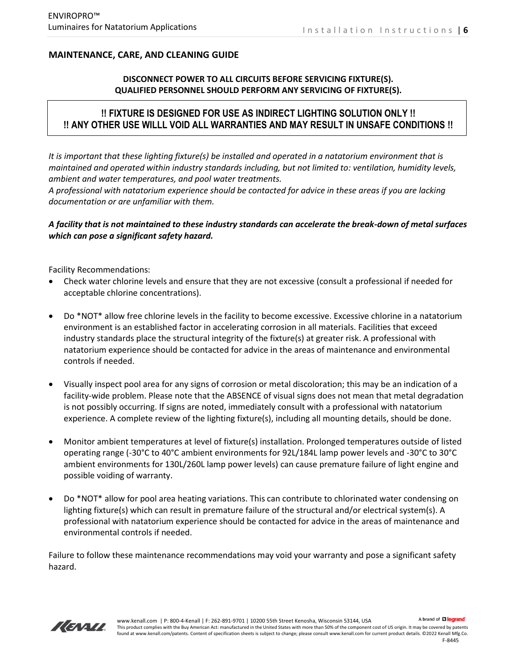## **MAINTENANCE, CARE, AND CLEANING GUIDE**

#### **DISCONNECT POWER TO ALL CIRCUITS BEFORE SERVICING FIXTURE(S). QUALIFIED PERSONNEL SHOULD PERFORM ANY SERVICING OF FIXTURE(S).**

# **!! FIXTURE IS DESIGNED FOR USE AS INDIRECT LIGHTING SOLUTION ONLY !! !! ANY OTHER USE WILLL VOID ALL WARRANTIES AND MAY RESULT IN UNSAFE CONDITIONS !!**

*It is important that these lighting fixture(s) be installed and operated in a natatorium environment that is maintained and operated within industry standards including, but not limited to: ventilation, humidity levels, ambient and water temperatures, and pool water treatments.* 

*A professional with natatorium experience should be contacted for advice in these areas if you are lacking documentation or are unfamiliar with them.*

#### *A facility that is not maintained to these industry standards can accelerate the break-down of metal surfaces which can pose a significant safety hazard.*

Facility Recommendations:

- Check water chlorine levels and ensure that they are not excessive (consult a professional if needed for acceptable chlorine concentrations).
- Do \*NOT\* allow free chlorine levels in the facility to become excessive. Excessive chlorine in a natatorium environment is an established factor in accelerating corrosion in all materials. Facilities that exceed industry standards place the structural integrity of the fixture(s) at greater risk. A professional with natatorium experience should be contacted for advice in the areas of maintenance and environmental controls if needed.
- Visually inspect pool area for any signs of corrosion or metal discoloration; this may be an indication of a facility-wide problem. Please note that the ABSENCE of visual signs does not mean that metal degradation is not possibly occurring. If signs are noted, immediately consult with a professional with natatorium experience. A complete review of the lighting fixture(s), including all mounting details, should be done.
- Monitor ambient temperatures at level of fixture(s) installation. Prolonged temperatures outside of listed operating range (-30°C to 40°C ambient environments for 92L/184L lamp power levels and -30°C to 30°C ambient environments for 130L/260L lamp power levels) can cause premature failure of light engine and possible voiding of warranty.
- Do \*NOT\* allow for pool area heating variations. This can contribute to chlorinated water condensing on lighting fixture(s) which can result in premature failure of the structural and/or electrical system(s). A professional with natatorium experience should be contacted for advice in the areas of maintenance and environmental controls if needed.

Failure to follow these maintenance recommendations may void your warranty and pose a significant safety hazard.